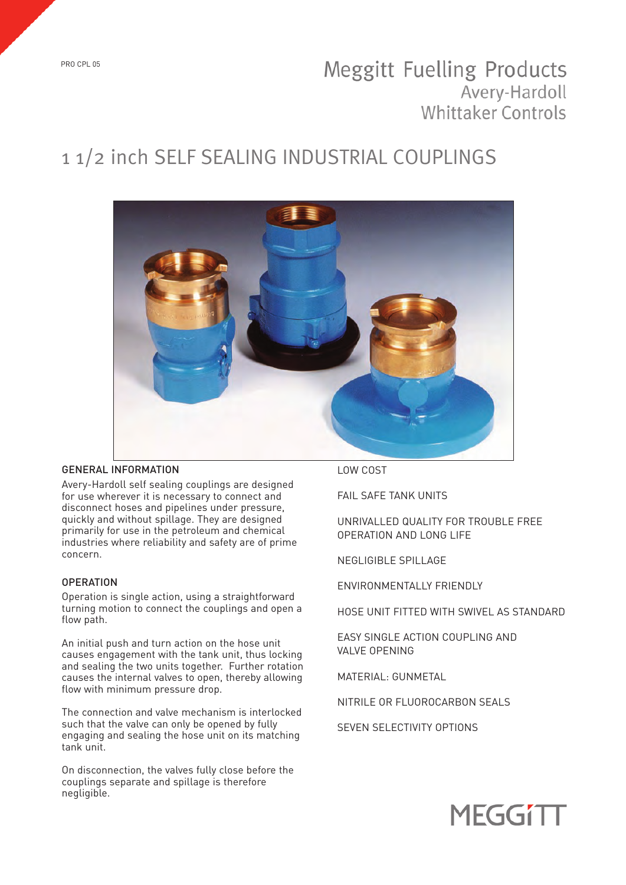# **Meggitt Fuelling Products** Avery-Hardoll **Whittaker Controls**

# 1 1/2 inch SELF SEALING INDUSTRIAL COUPLINGS



### GENERAL INFORMATION

Avery-Hardoll self sealing couplings are designed for use wherever it is necessary to connect and disconnect hoses and pipelines under pressure, quickly and without spillage. They are designed primarily for use in the petroleum and chemical industries where reliability and safety are of prime concern.

## **OPERATION**

Operation is single action, using a straightforward turning motion to connect the couplings and open a flow path.

An initial push and turn action on the hose unit causes engagement with the tank unit, thus locking and sealing the two units together. Further rotation causes the internal valves to open, thereby allowing flow with minimum pressure drop.

The connection and valve mechanism is interlocked such that the valve can only be opened by fully engaging and sealing the hose unit on its matching tank unit.

On disconnection, the valves fully close before the couplings separate and spillage is therefore negligible.

LOW COST

FAIL SAFE TANK UNITS

UNRIVALLED QUALITY FOR TROUBLE FREE OPERATION AND LONG LIFE

NEGLIGIBLE SPILLAGE

ENVIRONMENTALLY FRIENDLY

HOSE UNIT FITTED WITH SWIVEL AS STANDARD

EASY SINGLE ACTION COUPLING AND VALVE OPENING

MATERIAL: GUNMETAL

NITRILE OR FLUOROCARBON SEALS

SEVEN SELECTIVITY OPTIONS